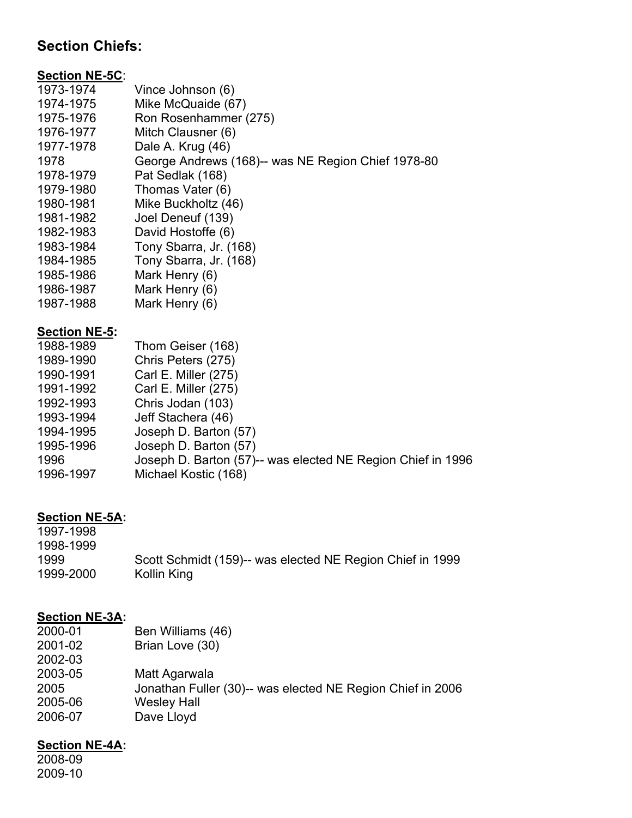# **Section Chiefs:**

### **Section NE-5C**:

| 1973-1974            | Vince Johnson (6)                                  |
|----------------------|----------------------------------------------------|
| 1974-1975            | Mike McQuaide (67)                                 |
| 1975-1976            | Ron Rosenhammer (275)                              |
| 1976-1977            | Mitch Clausner (6)                                 |
| 1977-1978            | Dale A. Krug (46)                                  |
| 1978                 | George Andrews (168)-- was NE Region Chief 1978-80 |
| 1978-1979            | Pat Sedlak (168)                                   |
| 1979-1980            | Thomas Vater (6)                                   |
| 1980-1981            | Mike Buckholtz (46)                                |
| 1981-1982            | Joel Deneuf (139)                                  |
| 1982-1983            | David Hostoffe (6)                                 |
| 1983-1984            | Tony Sbarra, Jr. (168)                             |
| 1984-1985            | Tony Sbarra, Jr. (168)                             |
| 1985-1986            | Mark Henry (6)                                     |
| 1986-1987            | Mark Henry (6)                                     |
| 1987-1988            | Mark Henry (6)                                     |
| <b>Section NE-5:</b> |                                                    |
| 1988-1989            | Thom Geiser (168)                                  |

| 1988-1989 | Thom Geiser (168)                                           |
|-----------|-------------------------------------------------------------|
| 1989-1990 | Chris Peters (275)                                          |
| 1990-1991 | Carl E. Miller (275)                                        |
| 1991-1992 | Carl E. Miller (275)                                        |
| 1992-1993 | Chris Jodan (103)                                           |
| 1993-1994 | Jeff Stachera (46)                                          |
| 1994-1995 | Joseph D. Barton (57)                                       |
| 1995-1996 | Joseph D. Barton (57)                                       |
| 1996      | Joseph D. Barton (57)-- was elected NE Region Chief in 1996 |
| 1996-1997 | Michael Kostic (168)                                        |
|           |                                                             |

### **Section NE-5A:**

| 1997-1998 |                                                           |
|-----------|-----------------------------------------------------------|
| 1998-1999 |                                                           |
| 1999      | Scott Schmidt (159)-- was elected NE Region Chief in 1999 |
| 1999-2000 | Kollin King                                               |

## **Section NE-3A:**

| 2000-01 | Ben Williams (46)                                          |
|---------|------------------------------------------------------------|
| 2001-02 | Brian Love (30)                                            |
| 2002-03 |                                                            |
| 2003-05 | Matt Agarwala                                              |
| 2005    | Jonathan Fuller (30)-- was elected NE Region Chief in 2006 |
| 2005-06 | <b>Wesley Hall</b>                                         |
| 2006-07 | Dave Lloyd                                                 |
|         |                                                            |

### **Section NE-4A:**

2008-09 2009-10